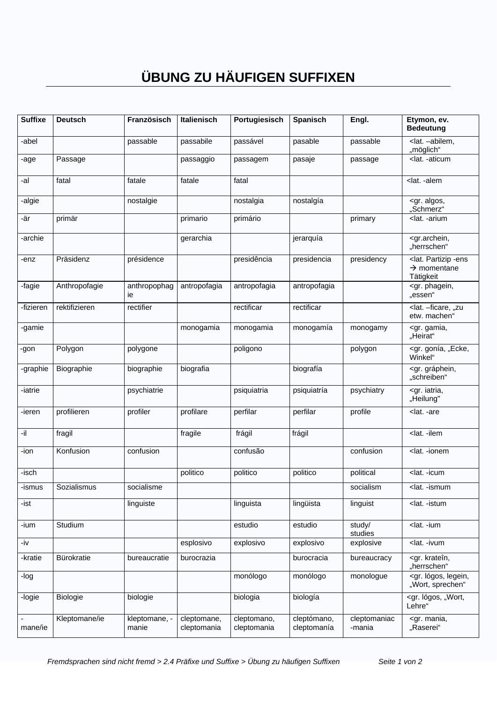## **ÜBUNG ZU HÄUFIGEN SUFFIXEN**

| <b>Suffixe</b> | <b>Deutsch</b> | <b>Französisch</b>     | Italienisch                | Portugiesisch              | <b>Spanisch</b>            | Engl.                  | Etymon, ev.<br><b>Bedeutung</b>                                                      |
|----------------|----------------|------------------------|----------------------------|----------------------------|----------------------------|------------------------|--------------------------------------------------------------------------------------|
| -abel          |                | passable               | passabile                  | passável                   | pasable                    | passable               | <lat. -abilem,<br="">"möglich"</lat.>                                                |
| -age           | Passage        |                        | passaggio                  | passagem                   | pasaje                     | passage                | <lat. -aticum<="" td=""></lat.>                                                      |
| -al            | fatal          | fatale                 | fatale                     | fatal                      |                            |                        | <lat. -alem<="" td=""></lat.>                                                        |
| -algie         |                | nostalgie              |                            | nostalgia                  | nostalgía                  |                        | <gr. algos,<br="">"Schmerz"</gr.>                                                    |
| -är            | primär         |                        | primario                   | primário                   |                            | primary                | <lat. -arium<="" td=""></lat.>                                                       |
| -archie        |                |                        | gerarchia                  |                            | jerarquía                  |                        | <gr.archein,<br>"herrschen"</gr.archein,<br>                                         |
| -enz           | Präsidenz      | présidence             |                            | presidência                | presidencia                | presidency             | <lat. -ens<br="" partizip=""><math>\rightarrow</math> momentane<br/>Tätigkeit</lat.> |
| -fagie         | Anthropofagie  | anthropophag<br>ie     | antropofagia               | antropofagia               | antropofagia               |                        | <gr. phagein,<br="">"essen"</gr.>                                                    |
| -fizieren      | rektifizieren  | rectifier              |                            | rectificar                 | rectificar                 |                        | <lat. "zu<br="" -="" ficare,="">etw. machen"</lat.>                                  |
| -gamie         |                |                        | monogamia                  | monogamia                  | monogamía                  | monogamy               | <gr. gamia,<br="">"Heirat"</gr.>                                                     |
| -gon           | Polygon        | polygone               |                            | poligono                   |                            | polygon                | <gr. "ecke,<br="" gonía,="">Winkel"</gr.>                                            |
| -graphie       | Biographie     | biographie             | biografia                  |                            | biografía                  |                        | <gr. gráphein,<br="">"schreiben"</gr.>                                               |
| -iatrie        |                | psychiatrie            |                            | psiquiatria                | psiquiatría                | psychiatry             | <gr. iatria,<br="">"Heilung"</gr.>                                                   |
| -ieren         | profilieren    | profiler               | profilare                  | perfilar                   | perfilar                   | profile                | <lat. -are<="" td=""></lat.>                                                         |
| -il            | fragil         |                        | fragile                    | frágil                     | frágil                     |                        | <lat. -ilem<="" td=""></lat.>                                                        |
| -ion           | Konfusion      | confusion              |                            | confusão                   |                            | confusion              | <lat. -ionem<="" td=""></lat.>                                                       |
| -isch          |                |                        | politico                   | politico                   | politico                   | political              | <lat. -icum<="" td=""></lat.>                                                        |
| -ismus         | Sozialismus    | socialisme             |                            |                            |                            | socialism              | <lat. -ismum<="" td=""></lat.>                                                       |
| -ist           |                | linguiste              |                            | linguista                  | lingüista                  | linguist               | <lat. -istum<="" td=""></lat.>                                                       |
| -ium           | Studium        |                        |                            | estudio                    | estudio                    | study/<br>studies      | <lat. -ium<="" td=""></lat.>                                                         |
| -iv            |                |                        | esplosivo                  | explosivo                  | explosivo                  | explosive              | <lat. -ivum<="" td=""></lat.>                                                        |
| -kratie        | Bürokratie     | bureaucratie           | burocrazia                 |                            | burocracia                 | bureaucracy            | <gr. krateîn,<br="">"herrschen"</gr.>                                                |
| -log           |                |                        |                            | monólogo                   | monólogo                   | monologue              | <gr. legein,<br="" lógos,="">"Wort, sprechen"</gr.>                                  |
| -logie         | Biologie       | biologie               |                            | biologia                   | biología                   |                        | <gr. "wort,<br="" lógos,="">Lehre"</gr.>                                             |
| mane/ie        | Kleptomane/ie  | kleptomane, -<br>manie | cleptomane,<br>cleptomania | cleptomano,<br>cleptomania | cleptómano,<br>cleptomanía | cleptomaniac<br>-mania | <gr. mania,<br="">"Raserei"</gr.>                                                    |